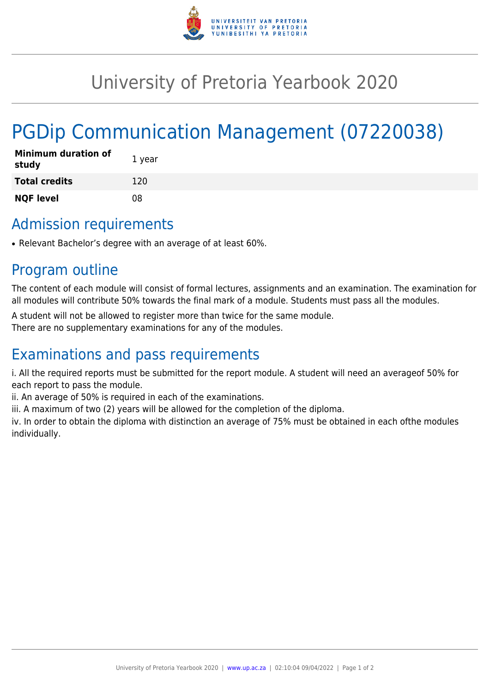

## University of Pretoria Yearbook 2020

# PGDip Communication Management (07220038)

| <b>Minimum duration of</b><br>study | 1 year |
|-------------------------------------|--------|
| <b>Total credits</b>                | 120    |
| <b>NQF level</b>                    | 08     |

#### Admission requirements

• Relevant Bachelor's degree with an average of at least 60%.

#### Program outline

The content of each module will consist of formal lectures, assignments and an examination. The examination for all modules will contribute 50% towards the final mark of a module. Students must pass all the modules.

A student will not be allowed to register more than twice for the same module.

There are no supplementary examinations for any of the modules.

### Examinations and pass requirements

i. All the required reports must be submitted for the report module. A student will need an averageof 50% for each report to pass the module.

ii. An average of 50% is required in each of the examinations.

iii. A maximum of two (2) years will be allowed for the completion of the diploma.

iv. In order to obtain the diploma with distinction an average of 75% must be obtained in each ofthe modules individually.